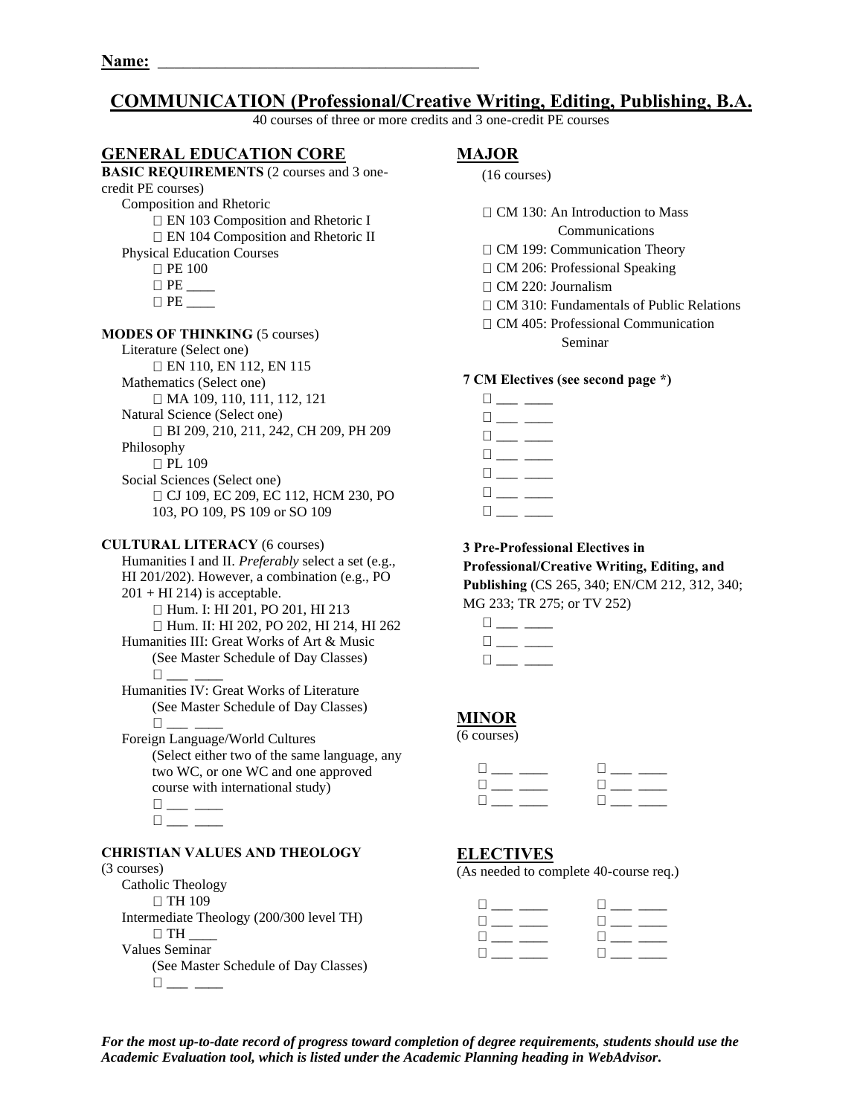# **COMMUNICATION (Professional/Creative Writing, Editing, Publishing, B.A.**

40 courses of three or more credits and 3 one-credit PE courses

## **GENERAL EDUCATION CORE**

#### **BASIC REQUIREMENTS** (2 courses and 3 onecredit PE courses) Composition and Rhetoric EN 103 Composition and Rhetoric I □ EN 104 Composition and Rhetoric II Physical Education Courses  $\Box$  PE 100

PE \_\_\_\_

## **MODES OF THINKING** (5 courses)

Literature (Select one) EN 110, EN 112, EN 115 Mathematics (Select one) □ MA 109, 110, 111, 112, 121 Natural Science (Select one) BI 209, 210, 211, 242, CH 209, PH 209 Philosophy □ PL 109 Social Sciences (Select one) CJ 109, EC 209, EC 112, HCM 230, PO 103, PO 109, PS 109 or SO 109

#### **CULTURAL LITERACY** (6 courses)

Humanities I and II. *Preferably* select a set (e.g., HI 201/202). However, a combination (e.g., PO  $201 + HI$  214) is acceptable. □ Hum. I: HI 201, PO 201, HI 213 Hum. II: HI 202, PO 202, HI 214, HI 262 Humanities III: Great Works of Art & Music (See Master Schedule of Day Classes) \_\_\_ \_\_\_\_ Humanities IV: Great Works of Literature

(See Master Schedule of Day Classes)  $\Box$ 

Foreign Language/World Cultures (Select either two of the same language, any two WC, or one WC and one approved course with international study)  $\square_{\textit{max}} \xrightarrow{\hspace{0.05cm}}$ 

#### **CHRISTIAN VALUES AND THEOLOGY**

 $\square_{\_\_\_\_\_\_\_\_\_\_\_\_\_\_\_\_\_}$ 

#### (3 courses)

Catholic Theology □ TH 109 Intermediate Theology (200/300 level TH)  $\Box$  TH Values Seminar (See Master Schedule of Day Classes)  $\square_{\textit{max}} \textit{p}$ 

## **MAJOR**

|  | $(16 \text{ courses})$ |
|--|------------------------|
|--|------------------------|

 $\Box$  CM 130: An Introduction to Mass

Communications

- □ CM 199: Communication Theory
- $\Box$  CM 206: Professional Speaking
- □ CM 220: Journalism
- □ CM 310: Fundamentals of Public Relations
- CM 405: Professional Communication Seminar

## **7 CM Electives (see second page \*)**

\_\_\_ \_\_\_\_  $\square_{\textit{max}} \xrightarrow{\hspace{0.5cm}}$  $\square_{\textit{max}} \xrightarrow{\hspace{0.05cm}}$  $\square$  \_\_  $\Box$  $\Box \hspace{0.09cm} \underline{\hspace{0.09cm}}$  $\Box$ 

**3 Pre-Professional Electives in** 

**Professional/Creative Writing, Editing, and Publishing** (CS 265, 340; EN/CM 212, 312, 340; MG 233; TR 275; or TV 252)

## **MINOR**

(6 courses)

## **ELECTIVES**

(As needed to complete 40-course req.)

| $\Box$                                         | <b>Little State State</b>    |
|------------------------------------------------|------------------------------|
| $\mathbf{u}$ and $\mathbf{u}$ and $\mathbf{u}$ | $\Box$ and $\Box$ and $\Box$ |
| <b>The community</b>                           | $\Box$ and $\Box$ and $\Box$ |
| <b>The company's company</b>                   | <b>The Community</b>         |

*For the most up-to-date record of progress toward completion of degree requirements, students should use the Academic Evaluation tool, which is listed under the Academic Planning heading in WebAdvisor.*